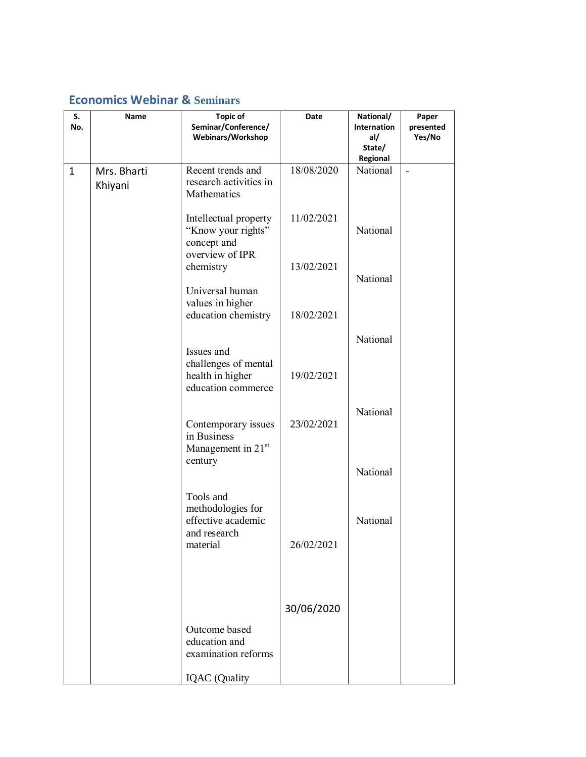## **Economics Webinar & Seminars**

| S.<br>No.    | Name                   | <b>Topic of</b><br>Seminar/Conference/<br>Webinars/Workshop                      | Date       | National/<br>Internation<br>al/<br>State/ | Paper<br>presented<br>Yes/No |
|--------------|------------------------|----------------------------------------------------------------------------------|------------|-------------------------------------------|------------------------------|
| $\mathbf{1}$ | Mrs. Bharti<br>Khiyani | Recent trends and<br>research activities in<br>Mathematics                       | 18/08/2020 | Regional<br>National                      | $\overline{a}$               |
|              |                        | Intellectual property<br>"Know your rights"<br>concept and<br>overview of IPR    | 11/02/2021 | National                                  |                              |
|              |                        | chemistry<br>Universal human                                                     | 13/02/2021 | National                                  |                              |
|              |                        | values in higher<br>education chemistry                                          | 18/02/2021 |                                           |                              |
|              |                        | Issues and<br>challenges of mental<br>health in higher                           | 19/02/2021 | National                                  |                              |
|              |                        | education commerce                                                               |            | National                                  |                              |
|              |                        | Contemporary issues<br>in Business<br>Management in 21st<br>century              | 23/02/2021 |                                           |                              |
|              |                        |                                                                                  |            | National                                  |                              |
|              |                        | Tools and<br>methodologies for<br>effective academic<br>and research<br>material | 26/02/2021 | National                                  |                              |
|              |                        |                                                                                  |            |                                           |                              |
|              |                        |                                                                                  | 30/06/2020 |                                           |                              |
|              |                        | Outcome based<br>education and<br>examination reforms                            |            |                                           |                              |
|              |                        | <b>IQAC</b> (Quality                                                             |            |                                           |                              |